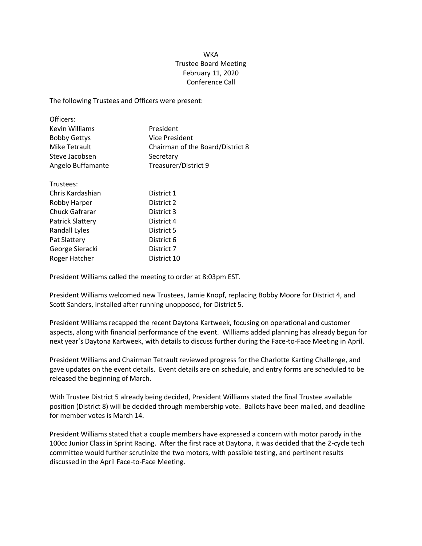## WKA Trustee Board Meeting February 11, 2020 Conference Call

The following Trustees and Officers were present:

| Officers:               |                                  |
|-------------------------|----------------------------------|
| Kevin Williams          | President                        |
| <b>Bobby Gettys</b>     | Vice President                   |
| Mike Tetrault           | Chairman of the Board/District 8 |
| Steve Jacobsen          | Secretary                        |
| Angelo Buffamante       | Treasurer/District 9             |
| Trustees:               |                                  |
| Chris Kardashian        | District 1                       |
| Robby Harper            | District 2                       |
| <b>Chuck Gafrarar</b>   | District 3                       |
| <b>Patrick Slattery</b> | District 4                       |
| Randall Lyles           | District 5                       |
| Pat Slattery            | District 6                       |
| George Sieracki         | District 7                       |

President Williams called the meeting to order at 8:03pm EST.

Roger Hatcher District 10

President Williams welcomed new Trustees, Jamie Knopf, replacing Bobby Moore for District 4, and Scott Sanders, installed after running unopposed, for District 5.

President Williams recapped the recent Daytona Kartweek, focusing on operational and customer aspects, along with financial performance of the event. Williams added planning has already begun for next year's Daytona Kartweek, with details to discuss further during the Face-to-Face Meeting in April.

President Williams and Chairman Tetrault reviewed progress for the Charlotte Karting Challenge, and gave updates on the event details. Event details are on schedule, and entry forms are scheduled to be released the beginning of March.

With Trustee District 5 already being decided, President Williams stated the final Trustee available position (District 8) will be decided through membership vote. Ballots have been mailed, and deadline for member votes is March 14.

President Williams stated that a couple members have expressed a concern with motor parody in the 100cc Junior Class in Sprint Racing. After the first race at Daytona, it was decided that the 2-cycle tech committee would further scrutinize the two motors, with possible testing, and pertinent results discussed in the April Face-to-Face Meeting.